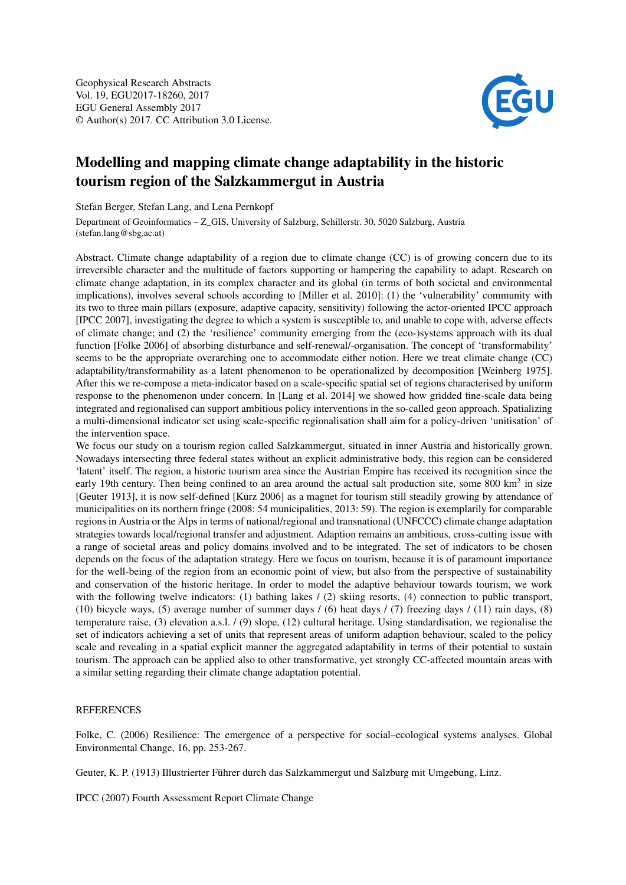

## Modelling and mapping climate change adaptability in the historic tourism region of the Salzkammergut in Austria

Stefan Berger, Stefan Lang, and Lena Pernkopf

Department of Geoinformatics – Z\_GIS, University of Salzburg, Schillerstr. 30, 5020 Salzburg, Austria (stefan.lang@sbg.ac.at)

Abstract. Climate change adaptability of a region due to climate change (CC) is of growing concern due to its irreversible character and the multitude of factors supporting or hampering the capability to adapt. Research on climate change adaptation, in its complex character and its global (in terms of both societal and environmental implications), involves several schools according to [Miller et al. 2010]: (1) the 'vulnerability' community with its two to three main pillars (exposure, adaptive capacity, sensitivity) following the actor-oriented IPCC approach [IPCC 2007], investigating the degree to which a system is susceptible to, and unable to cope with, adverse effects of climate change; and (2) the 'resilience' community emerging from the (eco-)systems approach with its dual function [Folke 2006] of absorbing disturbance and self-renewal/-organisation. The concept of 'transformability' seems to be the appropriate overarching one to accommodate either notion. Here we treat climate change (CC) adaptability/transformability as a latent phenomenon to be operationalized by decomposition [Weinberg 1975]. After this we re-compose a meta-indicator based on a scale-specific spatial set of regions characterised by uniform response to the phenomenon under concern. In [Lang et al. 2014] we showed how gridded fine-scale data being integrated and regionalised can support ambitious policy interventions in the so-called geon approach. Spatializing a multi-dimensional indicator set using scale-specific regionalisation shall aim for a policy-driven 'unitisation' of the intervention space.

We focus our study on a tourism region called Salzkammergut, situated in inner Austria and historically grown. Nowadays intersecting three federal states without an explicit administrative body, this region can be considered 'latent' itself. The region, a historic tourism area since the Austrian Empire has received its recognition since the early 19th century. Then being confined to an area around the actual salt production site, some 800 km<sup>2</sup> in size [Geuter 1913], it is now self-defined [Kurz 2006] as a magnet for tourism still steadily growing by attendance of municipalities on its northern fringe (2008: 54 municipalities, 2013: 59). The region is exemplarily for comparable regions in Austria or the Alps in terms of national/regional and transnational (UNFCCC) climate change adaptation strategies towards local/regional transfer and adjustment. Adaption remains an ambitious, cross-cutting issue with a range of societal areas and policy domains involved and to be integrated. The set of indicators to be chosen depends on the focus of the adaptation strategy. Here we focus on tourism, because it is of paramount importance for the well-being of the region from an economic point of view, but also from the perspective of sustainability and conservation of the historic heritage. In order to model the adaptive behaviour towards tourism, we work with the following twelve indicators: (1) bathing lakes / (2) skiing resorts, (4) connection to public transport, (10) bicycle ways, (5) average number of summer days / (6) heat days / (7) freezing days / (11) rain days, (8) temperature raise, (3) elevation a.s.l. / (9) slope, (12) cultural heritage. Using standardisation, we regionalise the set of indicators achieving a set of units that represent areas of uniform adaption behaviour, scaled to the policy scale and revealing in a spatial explicit manner the aggregated adaptability in terms of their potential to sustain tourism. The approach can be applied also to other transformative, yet strongly CC-affected mountain areas with a similar setting regarding their climate change adaptation potential.

## **REFERENCES**

Folke, C. (2006) Resilience: The emergence of a perspective for social–ecological systems analyses. Global Environmental Change, 16, pp. 253-267.

Geuter, K. P. (1913) Illustrierter Führer durch das Salzkammergut und Salzburg mit Umgebung, Linz.

IPCC (2007) Fourth Assessment Report Climate Change